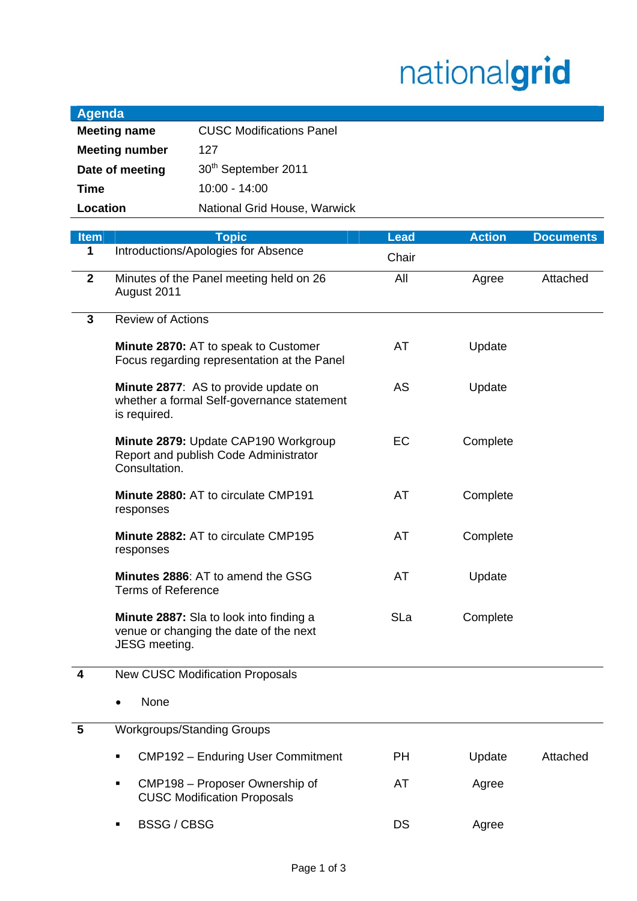## nationalgrid

| <b>Agenda</b>         |                                 |  |
|-----------------------|---------------------------------|--|
| <b>Meeting name</b>   | <b>CUSC Modifications Panel</b> |  |
| <b>Meeting number</b> | 127                             |  |
| Date of meeting       | 30 <sup>th</sup> September 2011 |  |
| Time                  | $10:00 - 14:00$                 |  |
| Location              | National Grid House, Warwick    |  |

| <b>Item</b>    | <b>Topic</b>                                                                                              | <b>Lead</b> | <b>Action</b> | <b>Documents</b> |
|----------------|-----------------------------------------------------------------------------------------------------------|-------------|---------------|------------------|
| 1              | Introductions/Apologies for Absence                                                                       | Chair       |               |                  |
| $\mathbf{2}$   | Minutes of the Panel meeting held on 26<br>August 2011                                                    | All         | Agree         | Attached         |
| 3              | <b>Review of Actions</b>                                                                                  |             |               |                  |
|                | Minute 2870: AT to speak to Customer<br>Focus regarding representation at the Panel                       | AT          | Update        |                  |
|                | Minute 2877: AS to provide update on<br>whether a formal Self-governance statement<br>is required.        | AS          | Update        |                  |
|                | Minute 2879: Update CAP190 Workgroup<br>Report and publish Code Administrator<br>Consultation.            | EC          | Complete      |                  |
|                | Minute 2880: AT to circulate CMP191<br>responses                                                          | AT          | Complete      |                  |
|                | Minute 2882: AT to circulate CMP195<br>responses                                                          | AT          | Complete      |                  |
|                | Minutes 2886: AT to amend the GSG<br><b>Terms of Reference</b>                                            | AT          | Update        |                  |
|                | <b>Minute 2887:</b> Sla to look into finding a<br>venue or changing the date of the next<br>JESG meeting. | SLa         | Complete      |                  |
| 4              | <b>New CUSC Modification Proposals</b>                                                                    |             |               |                  |
|                | None                                                                                                      |             |               |                  |
| $5\phantom{1}$ | <b>Workgroups/Standing Groups</b>                                                                         |             |               |                  |
|                | CMP192 - Enduring User Commitment<br>٠                                                                    | <b>PH</b>   | Update        | Attached         |
|                | CMP198 - Proposer Ownership of<br>٠<br><b>CUSC Modification Proposals</b>                                 | AT          | Agree         |                  |
|                | <b>BSSG/CBSG</b><br>٠                                                                                     | DS          | Agree         |                  |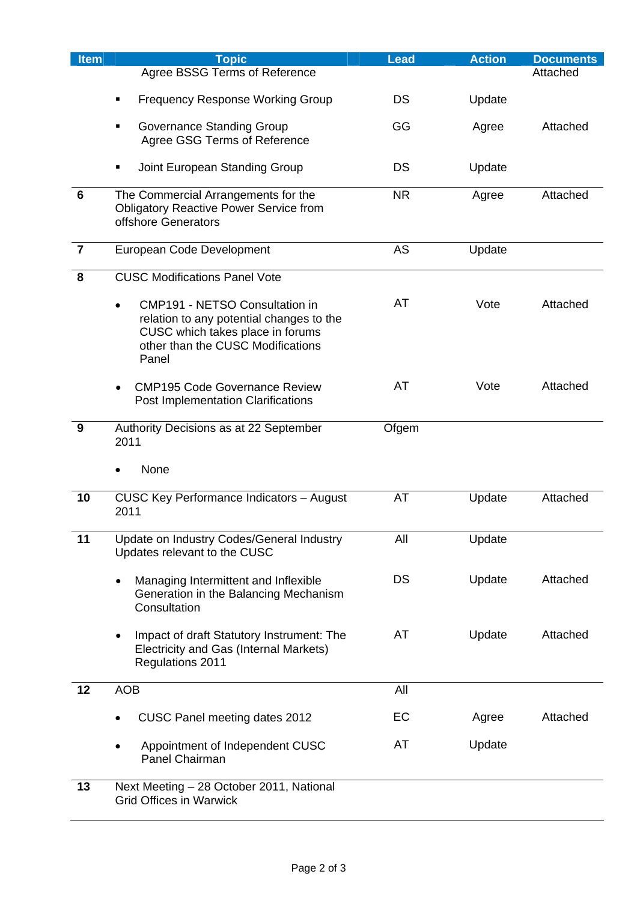| <b>Item</b>             | <b>Topic</b>                                                                                                                                                                     | <b>Lead</b> | <b>Action</b> | <b>Documents</b> |
|-------------------------|----------------------------------------------------------------------------------------------------------------------------------------------------------------------------------|-------------|---------------|------------------|
|                         | Agree BSSG Terms of Reference                                                                                                                                                    |             |               | Attached         |
|                         | <b>Frequency Response Working Group</b>                                                                                                                                          | <b>DS</b>   | Update        |                  |
|                         | <b>Governance Standing Group</b><br>Agree GSG Terms of Reference                                                                                                                 | GG          | Agree         | Attached         |
|                         | Joint European Standing Group<br>٠                                                                                                                                               | DS          | Update        |                  |
| $6\phantom{1}6$         | The Commercial Arrangements for the<br><b>Obligatory Reactive Power Service from</b><br>offshore Generators                                                                      | <b>NR</b>   | Agree         | Attached         |
| $\overline{\mathbf{7}}$ | European Code Development                                                                                                                                                        | AS          | Update        |                  |
| 8                       | <b>CUSC Modifications Panel Vote</b>                                                                                                                                             |             |               |                  |
|                         | <b>CMP191 - NETSO Consultation in</b><br>$\bullet$<br>relation to any potential changes to the<br>CUSC which takes place in forums<br>other than the CUSC Modifications<br>Panel | AT          | Vote          | Attached         |
|                         | <b>CMP195 Code Governance Review</b><br>$\bullet$<br><b>Post Implementation Clarifications</b>                                                                                   | AT          | Vote          | Attached         |
| 9                       | Authority Decisions as at 22 September<br>2011                                                                                                                                   | Ofgem       |               |                  |
|                         | None                                                                                                                                                                             |             |               |                  |
| 10                      | <b>CUSC Key Performance Indicators - August</b><br>2011                                                                                                                          | AT          | Update        | Attached         |
| 11                      | Update on Industry Codes/General Industry<br>Updates relevant to the CUSC                                                                                                        | All         | Update        |                  |
|                         | Managing Intermittent and Inflexible<br>٠<br>Generation in the Balancing Mechanism<br>Consultation                                                                               | <b>DS</b>   | Update        | Attached         |
|                         | Impact of draft Statutory Instrument: The<br>Electricity and Gas (Internal Markets)<br>Regulations 2011                                                                          | AT          | Update        | Attached         |
| 12                      | <b>AOB</b>                                                                                                                                                                       | All         |               |                  |
|                         | CUSC Panel meeting dates 2012                                                                                                                                                    | EC          | Agree         | Attached         |
|                         | Appointment of Independent CUSC<br>Panel Chairman                                                                                                                                | AT          | Update        |                  |
| 13                      | Next Meeting - 28 October 2011, National<br><b>Grid Offices in Warwick</b>                                                                                                       |             |               |                  |